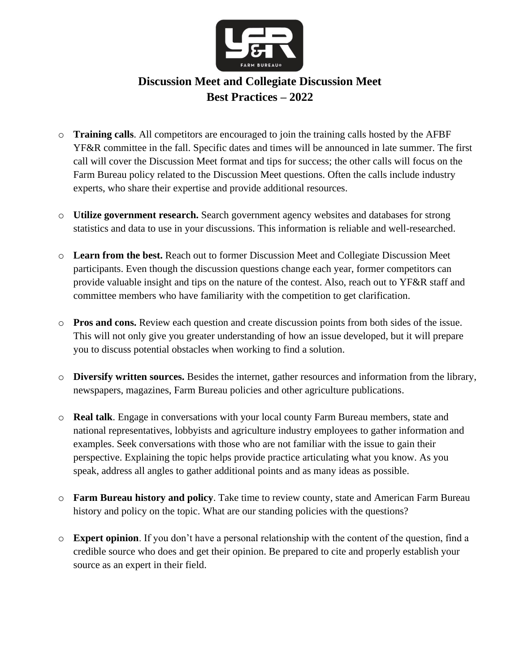

# **Discussion Meet and Collegiate Discussion Meet Best Practices – 2022**

- o **Training calls**. All competitors are encouraged to join the training calls hosted by the AFBF YF&R committee in the fall. Specific dates and times will be announced in late summer. The first call will cover the Discussion Meet format and tips for success; the other calls will focus on the Farm Bureau policy related to the Discussion Meet questions. Often the calls include industry experts, who share their expertise and provide additional resources.
- o **Utilize government research.** Search government agency websites and databases for strong statistics and data to use in your discussions. This information is reliable and well-researched.
- o **Learn from the best.** Reach out to former Discussion Meet and Collegiate Discussion Meet participants. Even though the discussion questions change each year, former competitors can provide valuable insight and tips on the nature of the contest. Also, reach out to YF&R staff and committee members who have familiarity with the competition to get clarification.
- o **Pros and cons.** Review each question and create discussion points from both sides of the issue. This will not only give you greater understanding of how an issue developed, but it will prepare you to discuss potential obstacles when working to find a solution.
- o **Diversify written sources.** Besides the internet, gather resources and information from the library, newspapers, magazines, Farm Bureau policies and other agriculture publications.
- o **Real talk**. Engage in conversations with your local county Farm Bureau members, state and national representatives, lobbyists and agriculture industry employees to gather information and examples. Seek conversations with those who are not familiar with the issue to gain their perspective. Explaining the topic helps provide practice articulating what you know. As you speak, address all angles to gather additional points and as many ideas as possible.
- o **Farm Bureau history and policy**. Take time to review county, state and American Farm Bureau history and policy on the topic. What are our standing policies with the questions?
- o **Expert opinion**. If you don't have a personal relationship with the content of the question, find a credible source who does and get their opinion. Be prepared to cite and properly establish your source as an expert in their field.